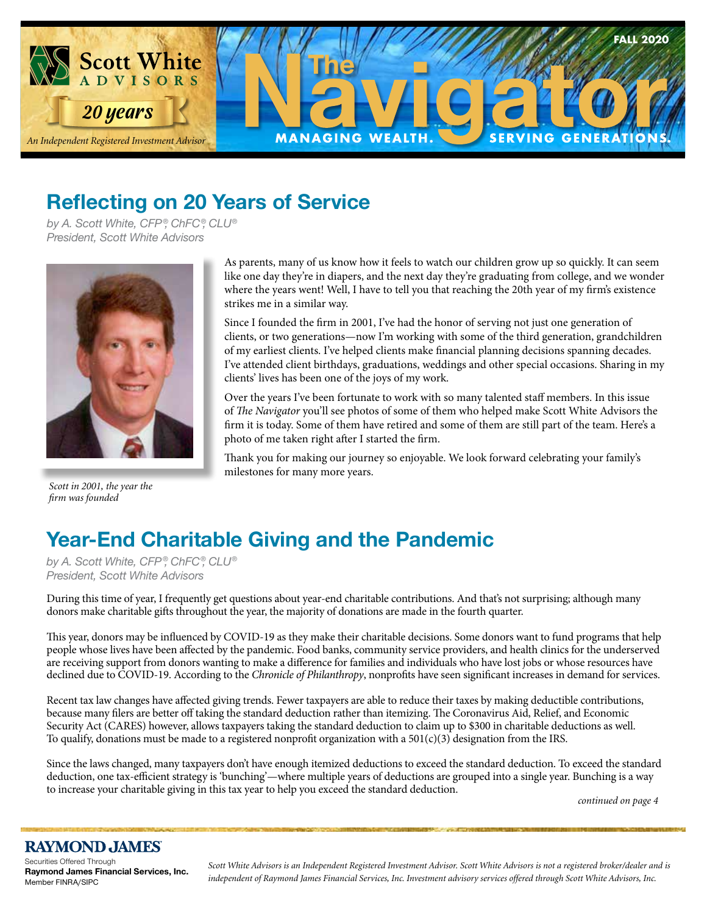

## **Reflecting on 20 Years of Service**

*by A. Scott White, CFP ®, ChFC®, CLU® President, Scott White Advisors*



*Scott in 2001, the year the firm was founded*

As parents, many of us know how it feels to watch our children grow up so quickly. It can seem like one day they're in diapers, and the next day they're graduating from college, and we wonder where the years went! Well, I have to tell you that reaching the 20th year of my firm's existence strikes me in a similar way.

Since I founded the firm in 2001, I've had the honor of serving not just one generation of clients, or two generations—now I'm working with some of the third generation, grandchildren of my earliest clients. I've helped clients make financial planning decisions spanning decades. I've attended client birthdays, graduations, weddings and other special occasions. Sharing in my clients' lives has been one of the joys of my work.

Over the years I've been fortunate to work with so many talented staff members. In this issue of *The Navigator* you'll see photos of some of them who helped make Scott White Advisors the firm it is today. Some of them have retired and some of them are still part of the team. Here's a photo of me taken right after I started the firm.

Thank you for making our journey so enjoyable. We look forward celebrating your family's milestones for many more years.

# **Year-End Charitable Giving and the Pandemic**

*by A. Scott White, CFP ®, ChFC®, CLU® President, Scott White Advisors*

During this time of year, I frequently get questions about year-end charitable contributions. And that's not surprising; although many donors make charitable gifts throughout the year, the majority of donations are made in the fourth quarter.

This year, donors may be influenced by COVID-19 as they make their charitable decisions. Some donors want to fund programs that help people whose lives have been affected by the pandemic. Food banks, community service providers, and health clinics for the underserved are receiving support from donors wanting to make a difference for families and individuals who have lost jobs or whose resources have declined due to COVID-19. According to the *Chronicle of Philanthropy*, nonprofits have seen significant increases in demand for services.

Recent tax law changes have affected giving trends. Fewer taxpayers are able to reduce their taxes by making deductible contributions, because many filers are better off taking the standard deduction rather than itemizing. The Coronavirus Aid, Relief, and Economic Security Act (CARES) however, allows taxpayers taking the standard deduction to claim up to \$300 in charitable deductions as well. To qualify, donations must be made to a registered nonprofit organization with a  $501(c)(3)$  designation from the IRS.

Since the laws changed, many taxpayers don't have enough itemized deductions to exceed the standard deduction. To exceed the standard deduction, one tax-efficient strategy is 'bunching'—where multiple years of deductions are grouped into a single year. Bunching is a way to increase your charitable giving in this tax year to help you exceed the standard deduction.

 *continued on page 4*

#### **RAYMOND JAMES**

Securities Offered Through **Raymond James Financial Services, Inc.**  Member FINRA/SIPC

*Scott White Advisors is an Independent Registered Investment Advisor. Scott White Advisors is not a registered broker/dealer and is independent of Raymond James Financial Services, Inc. Investment advisory services offered through Scott White Advisors, Inc.*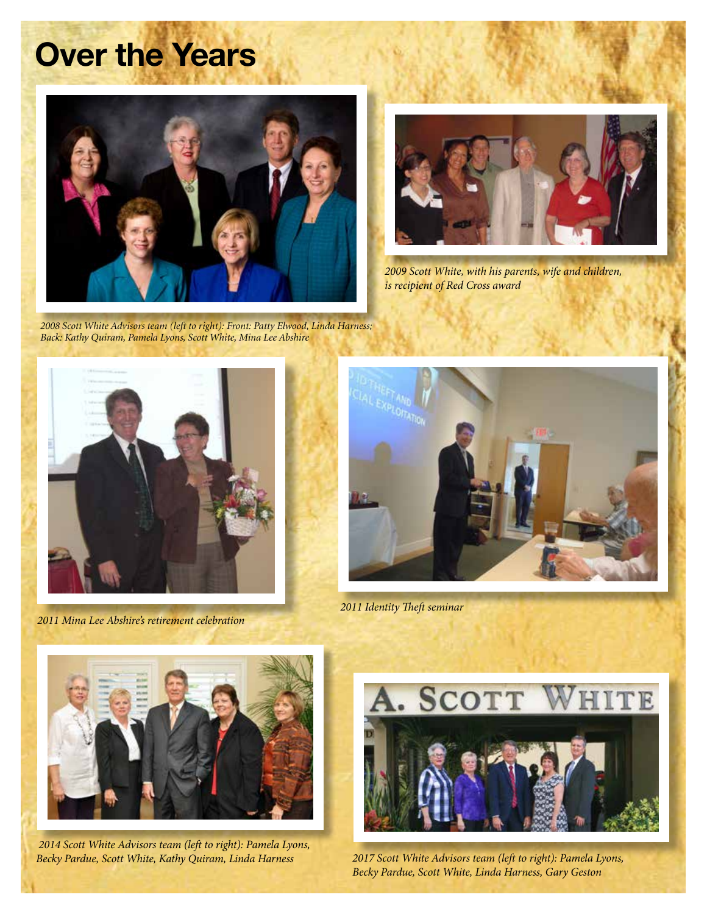# **Over the Years**





*2009 Scott White, with his parents, wife and children, is recipient of Red Cross award*

*2008 Scott White Advisors team (left to right): Front: Patty Elwood, Linda Harness; Back: Kathy Quiram, Pamela Lyons, Scott White, Mina Lee Abshire*



*2011 Mina Lee Abshire's retirement celebration*



*2011 Identity Theft seminar*



 *2014 Scott White Advisors team (left to right): Pamela Lyons, Becky Pardue, Scott White, Kathy Quiram, Linda Harness*



*2017 Scott White Advisors team (left to right): Pamela Lyons, Becky Pardue, Scott White, Linda Harness, Gary Geston*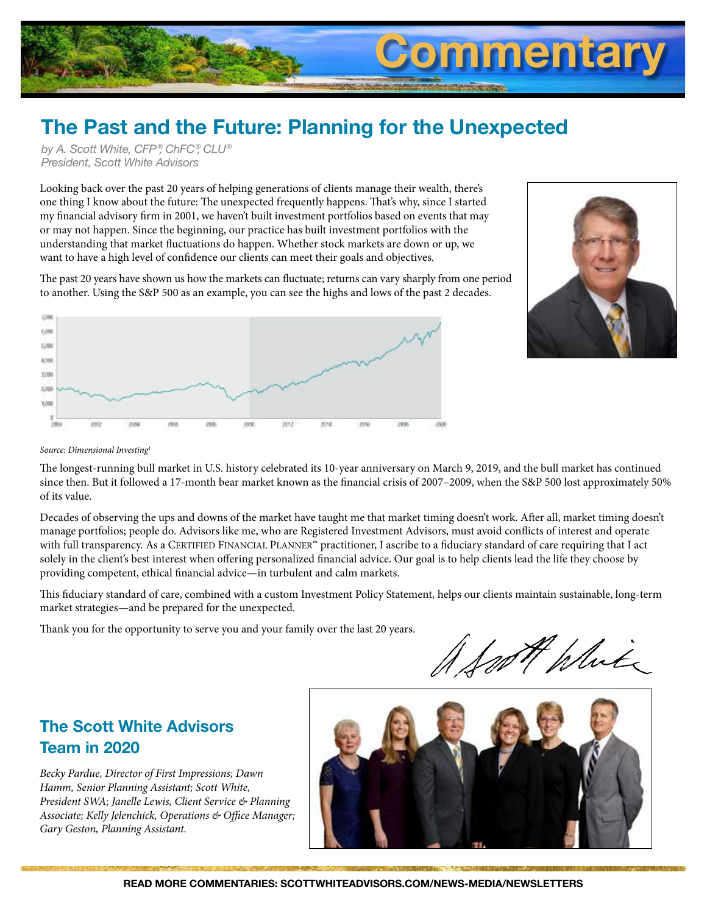

# **The Past and the Future: Planning for the Unexpected**

*by A. Scott White, CFP ®, ChFC®, CLU® President, Scott White Advisors*

Looking back over the past 20 years of helping generations of clients manage their wealth, there's one thing I know about the future: The unexpected frequently happens. That's why, since I started my financial advisory firm in 2001, we haven't built investment portfolios based on events that may or may not happen. Since the beginning, our practice has built investment portfolios with the understanding that market fluctuations do happen. Whether stock markets are down or up, we want to have a high level of confidence our clients can meet their goals and objectives.

The past 20 years have shown us how the markets can fluctuate; returns can vary sharply from one period to another. Using the S&P 500 as an example, you can see the highs and lows of the past 2 decades.





*Source: Dimensional Investing1*

The longest-running bull market in U.S. history celebrated its 10-year anniversary on March 9, 2019, and the bull market has continued since then. But it followed a 17-month bear market known as the financial crisis of 2007–2009, when the S&P 500 lost approximately 50% of its value.

Decades of observing the ups and downs of the market have taught me that market timing doesn't work. After all, market timing doesn't manage portfolios; people do. Advisors like me, who are Registered Investment Advisors, must avoid conflicts of interest and operate with full transparency. As a CERTIFIED FINANCIAL PLANNER™ practitioner, I ascribe to a fiduciary standard of care requiring that I act solely in the client's best interest when offering personalized financial advice. Our goal is to help clients lead the life they choose by providing competent, ethical financial advice—in turbulent and calm markets.

This fiduciary standard of care, combined with a custom Investment Policy Statement, helps our clients maintain sustainable, long-term market strategies—and be prepared for the unexpected.

Thank you for the opportunity to serve you and your family over the last 20 years.

not White

#### **The Scott White Advisors Team in 2020**

*Becky Pardue, Director of First Impressions; Dawn Hamm, Senior Planning Assistant; Scott White, President SWA; Janelle Lewis, Client Service & Planning Associate; Kelly Jelenchick, Operations & Office Manager; Gary Geston, Planning Assistant.*